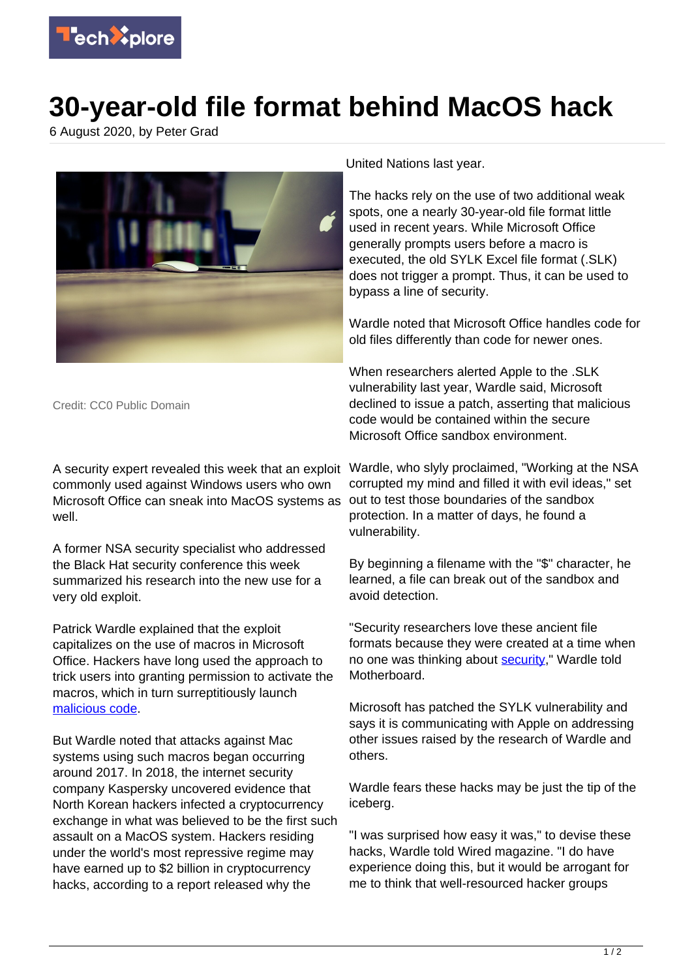

## **30-year-old file format behind MacOS hack**

6 August 2020, by Peter Grad



Credit: CC0 Public Domain

commonly used against Windows users who own Microsoft Office can sneak into MacOS systems as well.

A former NSA security specialist who addressed the Black Hat security conference this week summarized his research into the new use for a very old exploit.

Patrick Wardle explained that the exploit capitalizes on the use of macros in Microsoft Office. Hackers have long used the approach to trick users into granting permission to activate the macros, which in turn surreptitiously launch [malicious code](https://techxplore.com/tags/malicious+code/).

But Wardle noted that attacks against Mac systems using such macros began occurring around 2017. In 2018, the internet security company Kaspersky uncovered evidence that North Korean hackers infected a cryptocurrency exchange in what was believed to be the first such assault on a MacOS system. Hackers residing under the world's most repressive regime may have earned up to \$2 billion in cryptocurrency hacks, according to a report released why the

United Nations last year.

The hacks rely on the use of two additional weak spots, one a nearly 30-year-old file format little used in recent years. While Microsoft Office generally prompts users before a macro is executed, the old SYLK Excel file format (.SLK) does not trigger a prompt. Thus, it can be used to bypass a line of security.

Wardle noted that Microsoft Office handles code for old files differently than code for newer ones.

When researchers alerted Apple to the .SLK vulnerability last year, Wardle said, Microsoft declined to issue a patch, asserting that malicious code would be contained within the secure Microsoft Office sandbox environment.

A security expert revealed this week that an exploit Wardle, who slyly proclaimed, "Working at the NSA corrupted my mind and filled it with evil ideas," set out to test those boundaries of the sandbox protection. In a matter of days, he found a vulnerability.

> By beginning a filename with the "\$" character, he learned, a file can break out of the sandbox and avoid detection.

"Security researchers love these ancient file formats because they were created at a time when no one was thinking about [security](https://techxplore.com/tags/security/)," Wardle told Motherboard.

Microsoft has patched the SYLK vulnerability and says it is communicating with Apple on addressing other issues raised by the research of Wardle and others.

Wardle fears these hacks may be just the tip of the iceberg.

"I was surprised how easy it was," to devise these hacks, Wardle told Wired magazine. "I do have experience doing this, but it would be arrogant for me to think that well-resourced hacker groups